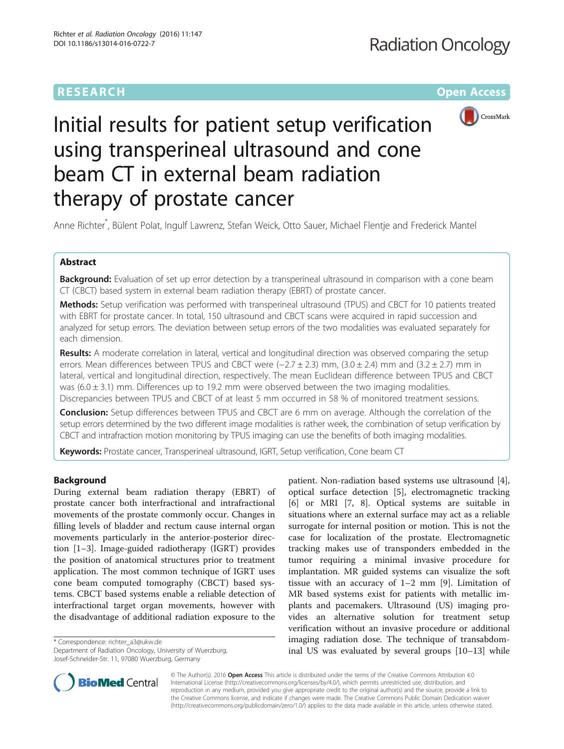# **RESEARCH CHEAR CHEAR CHEAR CHEAR CHEAR CHEAR CHEAR CHEAR CHEAR CHEAR CHEAR CHEAR CHEAR CHEAR CHEAR CHEAR CHEAR**



# Initial results for patient setup verification using transperineal ultrasound and cone beam CT in external beam radiation therapy of prostate cancer

Anne Richter\* , Bülent Polat, Ingulf Lawrenz, Stefan Weick, Otto Sauer, Michael Flentje and Frederick Mantel

# Abstract

Background: Evaluation of set up error detection by a transperineal ultrasound in comparison with a cone beam CT (CBCT) based system in external beam radiation therapy (EBRT) of prostate cancer.

Methods: Setup verification was performed with transperineal ultrasound (TPUS) and CBCT for 10 patients treated with EBRT for prostate cancer. In total, 150 ultrasound and CBCT scans were acquired in rapid succession and analyzed for setup errors. The deviation between setup errors of the two modalities was evaluated separately for each dimension.

Results: A moderate correlation in lateral, vertical and longitudinal direction was observed comparing the setup errors. Mean differences between TPUS and CBCT were  $(-2.7 \pm 2.3)$  mm,  $(3.0 \pm 2.4)$  mm and  $(3.2 \pm 2.7)$  mm in lateral, vertical and longitudinal direction, respectively. The mean Euclidean difference between TPUS and CBCT was  $(6.0 \pm 3.1)$  mm. Differences up to 19.2 mm were observed between the two imaging modalities. Discrepancies between TPUS and CBCT of at least 5 mm occurred in 58 % of monitored treatment sessions.

Conclusion: Setup differences between TPUS and CBCT are 6 mm on average. Although the correlation of the setup errors determined by the two different image modalities is rather week, the combination of setup verification by CBCT and intrafraction motion monitoring by TPUS imaging can use the benefits of both imaging modalities.

Keywords: Prostate cancer, Transperineal ultrasound, IGRT, Setup verification, Cone beam CT

# Background

During external beam radiation therapy (EBRT) of prostate cancer both interfractional and intrafractional movements of the prostate commonly occur. Changes in filling levels of bladder and rectum cause internal organ movements particularly in the anterior-posterior direction [[1](#page-6-0)–[3](#page-6-0)]. Image-guided radiotherapy (IGRT) provides the position of anatomical structures prior to treatment application. The most common technique of IGRT uses cone beam computed tomography (CBCT) based systems. CBCT based systems enable a reliable detection of interfractional target organ movements, however with the disadvantage of additional radiation exposure to the

\* Correspondence: [richter\\_a3@ukw.de](mailto:richter_a3@ukw.de)

Department of Radiation Oncology, University of Wuerzburg, Josef-Schneider-Str. 11, 97080 Wuerzburg, Germany

patient. Non-radiation based systems use ultrasound [\[4](#page-6-0)], optical surface detection [[5\]](#page-6-0), electromagnetic tracking [[6\]](#page-6-0) or MRI [[7, 8\]](#page-6-0). Optical systems are suitable in situations where an external surface may act as a reliable surrogate for internal position or motion. This is not the case for localization of the prostate. Electromagnetic tracking makes use of transponders embedded in the tumor requiring a minimal invasive procedure for implantation. MR guided systems can visualize the soft tissue with an accuracy of 1–2 mm [\[9\]](#page-6-0). Limitation of MR based systems exist for patients with metallic implants and pacemakers. Ultrasound (US) imaging provides an alternative solution for treatment setup verification without an invasive procedure or additional imaging radiation dose. The technique of transabdominal US was evaluated by several groups [[10](#page-6-0)–[13](#page-6-0)] while



© The Author(s). 2016 Open Access This article is distributed under the terms of the Creative Commons Attribution 4.0 International License [\(http://creativecommons.org/licenses/by/4.0/](http://creativecommons.org/licenses/by/4.0/)), which permits unrestricted use, distribution, and reproduction in any medium, provided you give appropriate credit to the original author(s) and the source, provide a link to the Creative Commons license, and indicate if changes were made. The Creative Commons Public Domain Dedication waiver [\(http://creativecommons.org/publicdomain/zero/1.0/](http://creativecommons.org/publicdomain/zero/1.0/)) applies to the data made available in this article, unless otherwise stated.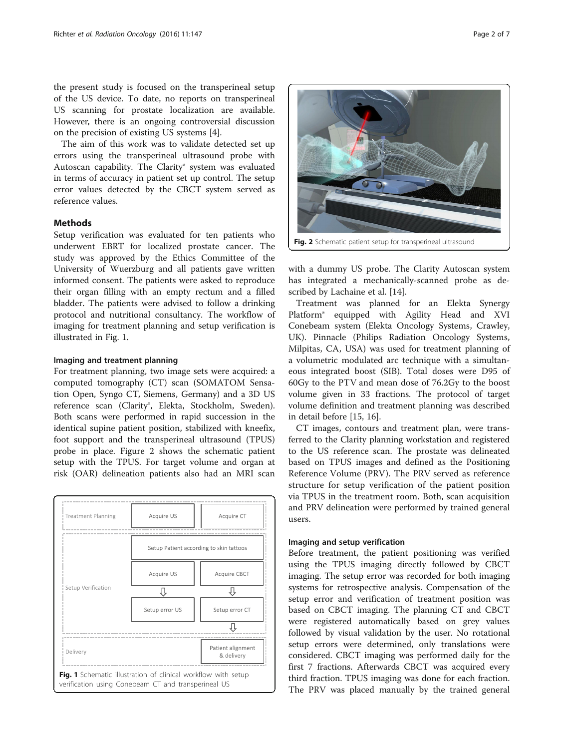the present study is focused on the transperineal setup of the US device. To date, no reports on transperineal US scanning for prostate localization are available. However, there is an ongoing controversial discussion on the precision of existing US systems [\[4](#page-6-0)].

The aim of this work was to validate detected set up errors using the transperineal ultrasound probe with Autoscan capability. The Clarity® system was evaluated in terms of accuracy in patient set up control. The setup error values detected by the CBCT system served as reference values.

#### Methods

Setup verification was evaluated for ten patients who underwent EBRT for localized prostate cancer. The study was approved by the Ethics Committee of the University of Wuerzburg and all patients gave written informed consent. The patients were asked to reproduce their organ filling with an empty rectum and a filled bladder. The patients were advised to follow a drinking protocol and nutritional consultancy. The workflow of imaging for treatment planning and setup verification is illustrated in Fig. 1.

#### Imaging and treatment planning

For treatment planning, two image sets were acquired: a computed tomography (CT) scan (SOMATOM Sensation Open, Syngo CT, Siemens, Germany) and a 3D US reference scan (Clarity®, Elekta, Stockholm, Sweden). Both scans were performed in rapid succession in the identical supine patient position, stabilized with kneefix, foot support and the transperineal ultrasound (TPUS) probe in place. Figure 2 shows the schematic patient setup with the TPUS. For target volume and organ at risk (OAR) delineation patients also had an MRI scan



Fig. 2 Schematic patient setup for transperineal ultrasound

with a dummy US probe. The Clarity Autoscan system has integrated a mechanically-scanned probe as described by Lachaine et al. [[14](#page-6-0)].

Treatment was planned for an Elekta Synergy Platform® equipped with Agility Head and XVI Conebeam system (Elekta Oncology Systems, Crawley, UK). Pinnacle (Philips Radiation Oncology Systems, Milpitas, CA, USA) was used for treatment planning of a volumetric modulated arc technique with a simultaneous integrated boost (SIB). Total doses were D95 of 60Gy to the PTV and mean dose of 76.2Gy to the boost volume given in 33 fractions. The protocol of target volume definition and treatment planning was described in detail before [[15](#page-6-0), [16](#page-6-0)].

CT images, contours and treatment plan, were transferred to the Clarity planning workstation and registered to the US reference scan. The prostate was delineated based on TPUS images and defined as the Positioning Reference Volume (PRV). The PRV served as reference structure for setup verification of the patient position via TPUS in the treatment room. Both, scan acquisition and PRV delineation were performed by trained general users.

### Imaging and setup verification

Before treatment, the patient positioning was verified using the TPUS imaging directly followed by CBCT imaging. The setup error was recorded for both imaging systems for retrospective analysis. Compensation of the setup error and verification of treatment position was based on CBCT imaging. The planning CT and CBCT were registered automatically based on grey values followed by visual validation by the user. No rotational setup errors were determined, only translations were considered. CBCT imaging was performed daily for the first 7 fractions. Afterwards CBCT was acquired every third fraction. TPUS imaging was done for each fraction. The PRV was placed manually by the trained general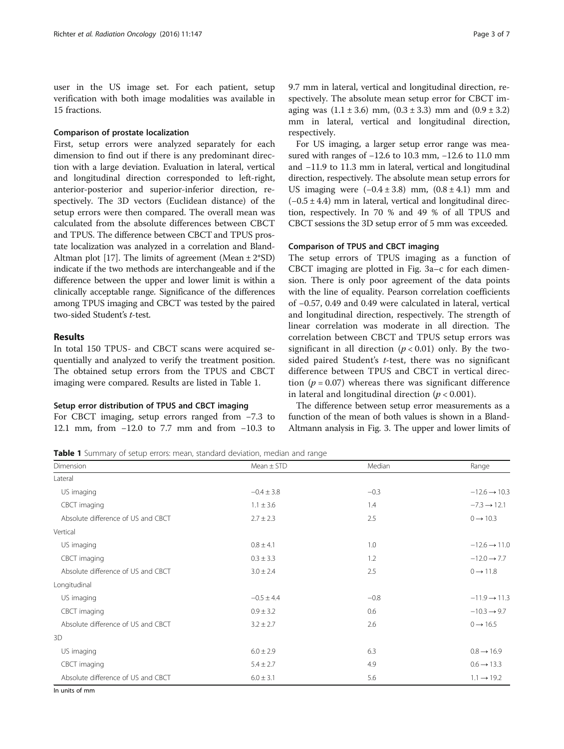user in the US image set. For each patient, setup verification with both image modalities was available in 15 fractions.

### Comparison of prostate localization

First, setup errors were analyzed separately for each dimension to find out if there is any predominant direction with a large deviation. Evaluation in lateral, vertical and longitudinal direction corresponded to left-right, anterior-posterior and superior-inferior direction, respectively. The 3D vectors (Euclidean distance) of the setup errors were then compared. The overall mean was calculated from the absolute differences between CBCT and TPUS. The difference between CBCT and TPUS prostate localization was analyzed in a correlation and Bland-Altman plot [\[17\]](#page-6-0). The limits of agreement (Mean  $\pm 2*SD$ ) indicate if the two methods are interchangeable and if the difference between the upper and lower limit is within a clinically acceptable range. Significance of the differences among TPUS imaging and CBCT was tested by the paired two-sided Student's t-test.

### Results

In total 150 TPUS- and CBCT scans were acquired sequentially and analyzed to verify the treatment position. The obtained setup errors from the TPUS and CBCT imaging were compared. Results are listed in Table 1.

#### Setup error distribution of TPUS and CBCT imaging

For CBCT imaging, setup errors ranged from −7.3 to 12.1 mm, from −12.0 to 7.7 mm and from −10.3 to 9.7 mm in lateral, vertical and longitudinal direction, respectively. The absolute mean setup error for CBCT imaging was  $(1.1 \pm 3.6)$  mm,  $(0.3 \pm 3.3)$  mm and  $(0.9 \pm 3.2)$ mm in lateral, vertical and longitudinal direction, respectively.

For US imaging, a larger setup error range was measured with ranges of −12.6 to 10.3 mm, −12.6 to 11.0 mm and −11.9 to 11.3 mm in lateral, vertical and longitudinal direction, respectively. The absolute mean setup errors for US imaging were  $(-0.4 \pm 3.8)$  mm,  $(0.8 \pm 4.1)$  mm and  $(-0.5 \pm 4.4)$  mm in lateral, vertical and longitudinal direction, respectively. In 70 % and 49 % of all TPUS and CBCT sessions the 3D setup error of 5 mm was exceeded.

#### Comparison of TPUS and CBCT imaging

The setup errors of TPUS imaging as a function of CBCT imaging are plotted in Fig. [3a](#page-3-0)–[c](#page-3-0) for each dimension. There is only poor agreement of the data points with the line of equality. Pearson correlation coefficients of −0.57, 0.49 and 0.49 were calculated in lateral, vertical and longitudinal direction, respectively. The strength of linear correlation was moderate in all direction. The correlation between CBCT and TPUS setup errors was significant in all direction  $(p < 0.01)$  only. By the twosided paired Student's  $t$ -test, there was no significant difference between TPUS and CBCT in vertical direction ( $p = 0.07$ ) whereas there was significant difference in lateral and longitudinal direction ( $p < 0.001$ ).

The difference between setup error measurements as a function of the mean of both values is shown in a Bland-Altmann analysis in Fig. [3.](#page-3-0) The upper and lower limits of

Table 1 Summary of setup errors: mean, standard deviation, median and range

| Dimension                          | $Mean \pm STD$ | Median | Range                    |
|------------------------------------|----------------|--------|--------------------------|
| Lateral                            |                |        |                          |
| US imaging                         | $-0.4 \pm 3.8$ | $-0.3$ | $-12.6 \rightarrow 10.3$ |
| CBCT imaging                       | $1.1 \pm 3.6$  | 1.4    | $-7.3 \rightarrow 12.1$  |
| Absolute difference of US and CBCT | $2.7 \pm 2.3$  | 2.5    | $0 \rightarrow 10.3$     |
| Vertical                           |                |        |                          |
| US imaging                         | $0.8 \pm 4.1$  | 1.0    | $-12.6 \rightarrow 11.0$ |
| CBCT imaging                       | $0.3 \pm 3.3$  | 1.2    | $-12.0 \rightarrow 7.7$  |
| Absolute difference of US and CBCT | $3.0 \pm 2.4$  | 2.5    | $0 \rightarrow 11.8$     |
| Longitudinal                       |                |        |                          |
| US imaging                         | $-0.5 \pm 4.4$ | $-0.8$ | $-11.9 \rightarrow 11.3$ |
| CBCT imaging                       | $0.9 \pm 3.2$  | 0.6    | $-10.3 \rightarrow 9.7$  |
| Absolute difference of US and CBCT | $3.2 \pm 2.7$  | 2.6    | $0 \rightarrow 16.5$     |
| 3D                                 |                |        |                          |
| US imaging                         | $6.0 \pm 2.9$  | 6.3    | $0.8 \rightarrow 16.9$   |
| CBCT imaging                       | $5.4 \pm 2.7$  | 4.9    | $0.6 \rightarrow 13.3$   |
| Absolute difference of US and CBCT | $6.0 \pm 3.1$  | 5.6    | $1.1 \rightarrow 19.2$   |

In units of mm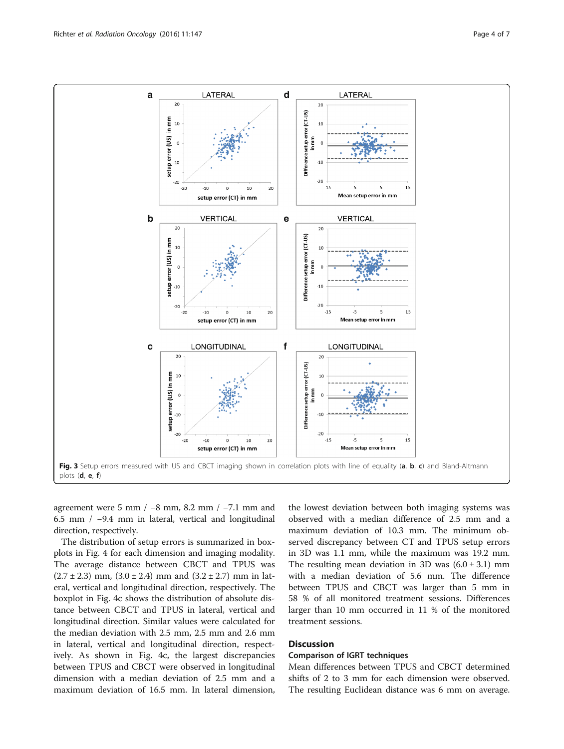<span id="page-3-0"></span>

agreement were 5 mm  $/ -8$  mm, 8.2 mm  $/ -7.1$  mm and 6.5 mm / −9.4 mm in lateral, vertical and longitudinal direction, respectively.

The distribution of setup errors is summarized in boxplots in Fig. [4](#page-4-0) for each dimension and imaging modality. The average distance between CBCT and TPUS was  $(2.7 \pm 2.3)$  mm,  $(3.0 \pm 2.4)$  mm and  $(3.2 \pm 2.7)$  mm in lateral, vertical and longitudinal direction, respectively. The boxplot in Fig. [4c](#page-4-0) shows the distribution of absolute distance between CBCT and TPUS in lateral, vertical and longitudinal direction. Similar values were calculated for the median deviation with 2.5 mm, 2.5 mm and 2.6 mm in lateral, vertical and longitudinal direction, respectively. As shown in Fig. [4c](#page-4-0), the largest discrepancies between TPUS and CBCT were observed in longitudinal dimension with a median deviation of 2.5 mm and a maximum deviation of 16.5 mm. In lateral dimension,

the lowest deviation between both imaging systems was observed with a median difference of 2.5 mm and a maximum deviation of 10.3 mm. The minimum observed discrepancy between CT and TPUS setup errors in 3D was 1.1 mm, while the maximum was 19.2 mm. The resulting mean deviation in 3D was  $(6.0 \pm 3.1)$  mm with a median deviation of 5.6 mm. The difference between TPUS and CBCT was larger than 5 mm in 58 % of all monitored treatment sessions. Differences larger than 10 mm occurred in 11 % of the monitored treatment sessions.

## **Discussion**

#### Comparison of IGRT techniques

Mean differences between TPUS and CBCT determined shifts of 2 to 3 mm for each dimension were observed. The resulting Euclidean distance was 6 mm on average.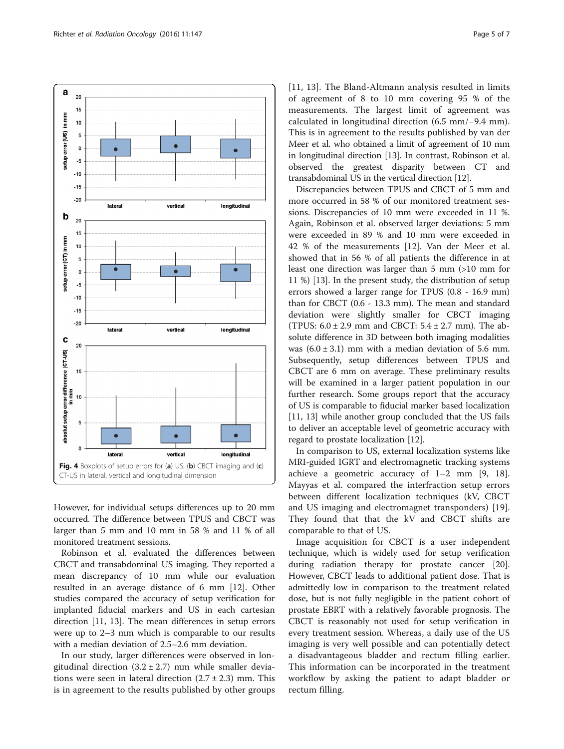<span id="page-4-0"></span>

However, for individual setups differences up to 20 mm occurred. The difference between TPUS and CBCT was larger than 5 mm and 10 mm in 58 % and 11 % of all monitored treatment sessions.

Robinson et al. evaluated the differences between CBCT and transabdominal US imaging. They reported a mean discrepancy of 10 mm while our evaluation resulted in an average distance of 6 mm [[12\]](#page-6-0). Other studies compared the accuracy of setup verification for implanted fiducial markers and US in each cartesian direction [\[11](#page-6-0), [13\]](#page-6-0). The mean differences in setup errors were up to 2–3 mm which is comparable to our results with a median deviation of 2.5–2.6 mm deviation.

In our study, larger differences were observed in longitudinal direction  $(3.2 \pm 2.7)$  mm while smaller deviations were seen in lateral direction  $(2.7 \pm 2.3)$  mm. This is in agreement to the results published by other groups [[11, 13\]](#page-6-0). The Bland-Altmann analysis resulted in limits of agreement of 8 to 10 mm covering 95 % of the measurements. The largest limit of agreement was calculated in longitudinal direction (6.5 mm/−9.4 mm). This is in agreement to the results published by van der Meer et al. who obtained a limit of agreement of 10 mm in longitudinal direction [\[13](#page-6-0)]. In contrast, Robinson et al. observed the greatest disparity between CT and transabdominal US in the vertical direction [\[12\]](#page-6-0).

Discrepancies between TPUS and CBCT of 5 mm and more occurred in 58 % of our monitored treatment sessions. Discrepancies of 10 mm were exceeded in 11 %. Again, Robinson et al. observed larger deviations: 5 mm were exceeded in 89 % and 10 mm were exceeded in 42 % of the measurements [\[12](#page-6-0)]. Van der Meer et al. showed that in 56 % of all patients the difference in at least one direction was larger than 5 mm (>10 mm for 11 %) [[13](#page-6-0)]. In the present study, the distribution of setup errors showed a larger range for TPUS (0.8 - 16.9 mm) than for CBCT (0.6 - 13.3 mm). The mean and standard deviation were slightly smaller for CBCT imaging (TPUS:  $6.0 \pm 2.9$  mm and CBCT:  $5.4 \pm 2.7$  mm). The absolute difference in 3D between both imaging modalities was  $(6.0 \pm 3.1)$  mm with a median deviation of 5.6 mm. Subsequently, setup differences between TPUS and CBCT are 6 mm on average. These preliminary results will be examined in a larger patient population in our further research. Some groups report that the accuracy of US is comparable to fiducial marker based localization [[11, 13\]](#page-6-0) while another group concluded that the US fails to deliver an acceptable level of geometric accuracy with regard to prostate localization [[12](#page-6-0)].

In comparison to US, external localization systems like MRI-guided IGRT and electromagnetic tracking systems achieve a geometric accuracy of 1–2 mm [\[9](#page-6-0), [18](#page-6-0)]. Mayyas et al. compared the interfraction setup errors between different localization techniques (kV, CBCT and US imaging and electromagnet transponders) [\[19](#page-6-0)]. They found that that the kV and CBCT shifts are comparable to that of US.

Image acquisition for CBCT is a user independent technique, which is widely used for setup verification during radiation therapy for prostate cancer [\[20](#page-6-0)]. However, CBCT leads to additional patient dose. That is admittedly low in comparison to the treatment related dose, but is not fully negligible in the patient cohort of prostate EBRT with a relatively favorable prognosis. The CBCT is reasonably not used for setup verification in every treatment session. Whereas, a daily use of the US imaging is very well possible and can potentially detect a disadvantageous bladder and rectum filling earlier. This information can be incorporated in the treatment workflow by asking the patient to adapt bladder or rectum filling.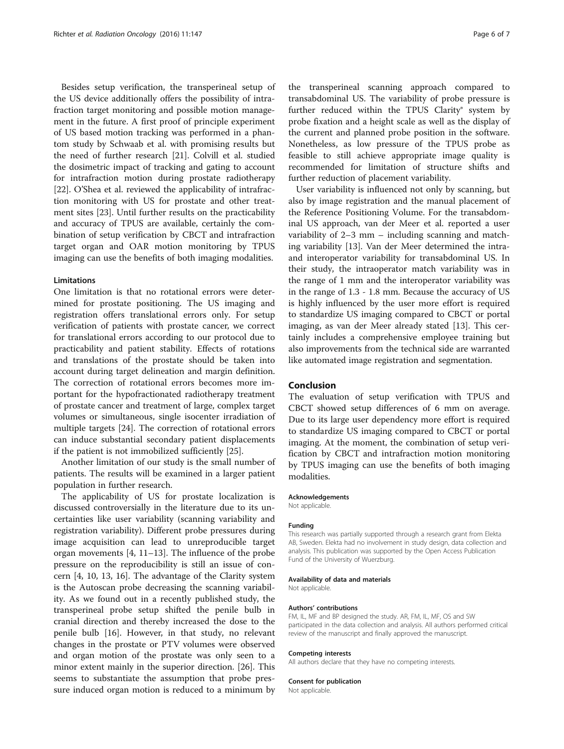Besides setup verification, the transperineal setup of the US device additionally offers the possibility of intrafraction target monitoring and possible motion management in the future. A first proof of principle experiment of US based motion tracking was performed in a phantom study by Schwaab et al. with promising results but the need of further research [[21\]](#page-6-0). Colvill et al. studied the dosimetric impact of tracking and gating to account for intrafraction motion during prostate radiotherapy [[22\]](#page-6-0). O'Shea et al. reviewed the applicability of intrafraction monitoring with US for prostate and other treatment sites [[23\]](#page-6-0). Until further results on the practicability and accuracy of TPUS are available, certainly the combination of setup verification by CBCT and intrafraction target organ and OAR motion monitoring by TPUS imaging can use the benefits of both imaging modalities.

#### **Limitations**

One limitation is that no rotational errors were determined for prostate positioning. The US imaging and registration offers translational errors only. For setup verification of patients with prostate cancer, we correct for translational errors according to our protocol due to practicability and patient stability. Effects of rotations and translations of the prostate should be taken into account during target delineation and margin definition. The correction of rotational errors becomes more important for the hypofractionated radiotherapy treatment of prostate cancer and treatment of large, complex target volumes or simultaneous, single isocenter irradiation of multiple targets [\[24\]](#page-6-0). The correction of rotational errors can induce substantial secondary patient displacements if the patient is not immobilized sufficiently [\[25\]](#page-6-0).

Another limitation of our study is the small number of patients. The results will be examined in a larger patient population in further research.

The applicability of US for prostate localization is discussed controversially in the literature due to its uncertainties like user variability (scanning variability and registration variability). Different probe pressures during image acquisition can lead to unreproducible target organ movements [[4](#page-6-0), [11](#page-6-0)–[13](#page-6-0)]. The influence of the probe pressure on the reproducibility is still an issue of concern [\[4](#page-6-0), [10](#page-6-0), [13, 16](#page-6-0)]. The advantage of the Clarity system is the Autoscan probe decreasing the scanning variability. As we found out in a recently published study, the transperineal probe setup shifted the penile bulb in cranial direction and thereby increased the dose to the penile bulb [\[16](#page-6-0)]. However, in that study, no relevant changes in the prostate or PTV volumes were observed and organ motion of the prostate was only seen to a minor extent mainly in the superior direction. [\[26\]](#page-6-0). This seems to substantiate the assumption that probe pressure induced organ motion is reduced to a minimum by

the transperineal scanning approach compared to transabdominal US. The variability of probe pressure is further reduced within the TPUS Clarity® system by probe fixation and a height scale as well as the display of the current and planned probe position in the software. Nonetheless, as low pressure of the TPUS probe as feasible to still achieve appropriate image quality is recommended for limitation of structure shifts and further reduction of placement variability.

User variability is influenced not only by scanning, but also by image registration and the manual placement of the Reference Positioning Volume. For the transabdominal US approach, van der Meer et al. reported a user variability of 2–3 mm – including scanning and matching variability [[13\]](#page-6-0). Van der Meer determined the intraand interoperator variability for transabdominal US. In their study, the intraoperator match variability was in the range of 1 mm and the interoperator variability was in the range of 1.3 - 1.8 mm. Because the accuracy of US is highly influenced by the user more effort is required to standardize US imaging compared to CBCT or portal imaging, as van der Meer already stated [\[13](#page-6-0)]. This certainly includes a comprehensive employee training but also improvements from the technical side are warranted like automated image registration and segmentation.

#### Conclusion

The evaluation of setup verification with TPUS and CBCT showed setup differences of 6 mm on average. Due to its large user dependency more effort is required to standardize US imaging compared to CBCT or portal imaging. At the moment, the combination of setup verification by CBCT and intrafraction motion monitoring by TPUS imaging can use the benefits of both imaging modalities.

#### Acknowledgements

Not applicable.

#### Funding

This research was partially supported through a research grant from Elekta AB, Sweden. Elekta had no involvement in study design, data collection and analysis. This publication was supported by the Open Access Publication Fund of the University of Wuerzburg.

#### Availability of data and materials

Not applicable.

#### Authors' contributions

FM, IL, MF and BP designed the study. AR, FM, IL, MF, OS and SW participated in the data collection and analysis. All authors performed critical review of the manuscript and finally approved the manuscript.

#### Competing interests

All authors declare that they have no competing interests.

#### Consent for publication

Not applicable.